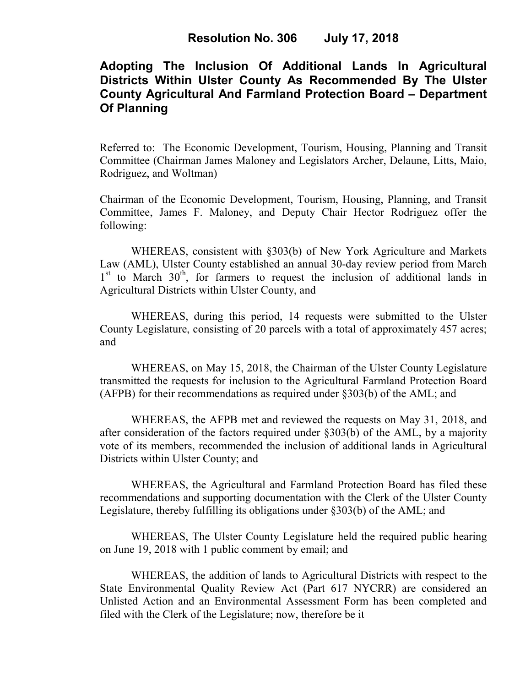# **Adopting The Inclusion Of Additional Lands In Agricultural Districts Within Ulster County As Recommended By The Ulster County Agricultural And Farmland Protection Board – Department Of Planning**

Referred to: The Economic Development, Tourism, Housing, Planning and Transit Committee (Chairman James Maloney and Legislators Archer, Delaune, Litts, Maio, Rodriguez, and Woltman)

Chairman of the Economic Development, Tourism, Housing, Planning, and Transit Committee, James F. Maloney, and Deputy Chair Hector Rodriguez offer the following:

WHEREAS, consistent with §303(b) of New York Agriculture and Markets Law (AML), Ulster County established an annual 30-day review period from March 1<sup>st</sup> to March 30<sup>th</sup>, for farmers to request the inclusion of additional lands in Agricultural Districts within Ulster County, and

WHEREAS, during this period, 14 requests were submitted to the Ulster County Legislature, consisting of 20 parcels with a total of approximately 457 acres; and

WHEREAS, on May 15, 2018, the Chairman of the Ulster County Legislature transmitted the requests for inclusion to the Agricultural Farmland Protection Board (AFPB) for their recommendations as required under §303(b) of the AML; and

WHEREAS, the AFPB met and reviewed the requests on May 31, 2018, and after consideration of the factors required under §303(b) of the AML, by a majority vote of its members, recommended the inclusion of additional lands in Agricultural Districts within Ulster County; and

WHEREAS, the Agricultural and Farmland Protection Board has filed these recommendations and supporting documentation with the Clerk of the Ulster County Legislature, thereby fulfilling its obligations under §303(b) of the AML; and

WHEREAS, The Ulster County Legislature held the required public hearing on June 19, 2018 with 1 public comment by email; and

WHEREAS, the addition of lands to Agricultural Districts with respect to the State Environmental Quality Review Act (Part 617 NYCRR) are considered an Unlisted Action and an Environmental Assessment Form has been completed and filed with the Clerk of the Legislature; now, therefore be it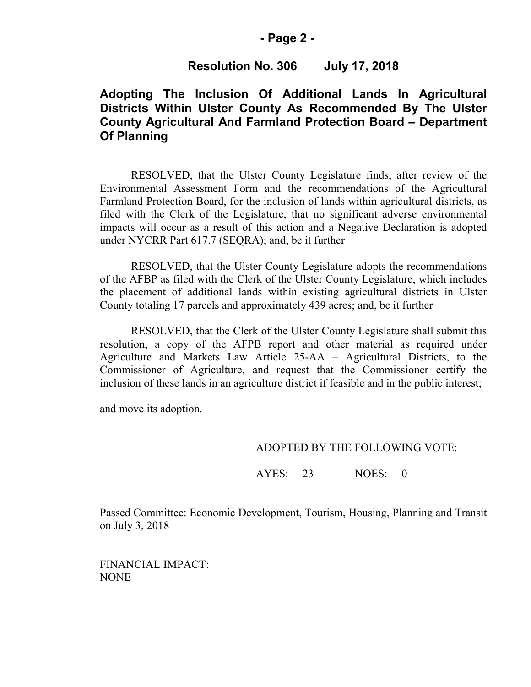### **- Page 2 -**

## **Resolution No. 306 July 17, 2018**

# **Adopting The Inclusion Of Additional Lands In Agricultural Districts Within Ulster County As Recommended By The Ulster County Agricultural And Farmland Protection Board – Department Of Planning**

RESOLVED, that the Ulster County Legislature finds, after review of the Environmental Assessment Form and the recommendations of the Agricultural Farmland Protection Board, for the inclusion of lands within agricultural districts, as filed with the Clerk of the Legislature, that no significant adverse environmental impacts will occur as a result of this action and a Negative Declaration is adopted under NYCRR Part 617.7 (SEQRA); and, be it further

RESOLVED, that the Ulster County Legislature adopts the recommendations of the AFBP as filed with the Clerk of the Ulster County Legislature, which includes the placement of additional lands within existing agricultural districts in Ulster County totaling 17 parcels and approximately 439 acres; and, be it further

RESOLVED, that the Clerk of the Ulster County Legislature shall submit this resolution, a copy of the AFPB report and other material as required under Agriculture and Markets Law Article 25-AA – Agricultural Districts, to the Commissioner of Agriculture, and request that the Commissioner certify the inclusion of these lands in an agriculture district if feasible and in the public interest;

and move its adoption.

#### ADOPTED BY THE FOLLOWING VOTE:

AYES: 23 NOES: 0

Passed Committee: Economic Development, Tourism, Housing, Planning and Transit on July 3, 2018

FINANCIAL IMPACT: NONE